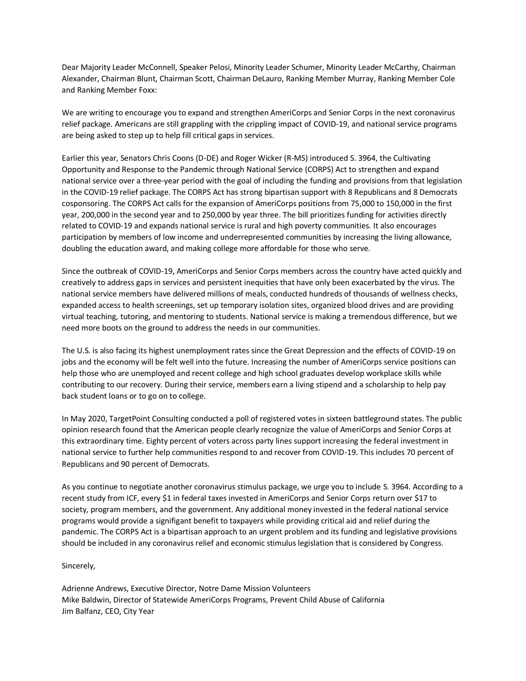Dear Majority Leader McConnell, Speaker Pelosi, Minority Leader Schumer, Minority Leader McCarthy, Chairman Alexander, Chairman Blunt, Chairman Scott, Chairman DeLauro, Ranking Member Murray, Ranking Member Cole and Ranking Member Foxx:

We are writing to encourage you to expand and strengthen AmeriCorps and Senior Corps in the next coronavirus relief package. Americans are still grappling with the crippling impact of COVID-19, and national service programs are being asked to step up to help fill critical gaps in services.

Earlier this year, Senators Chris Coons (D-DE) and Roger Wicker (R-MS) introduced S. 3964, the Cultivating Opportunity and Response to the Pandemic through National Service (CORPS) Act to strengthen and expand national service over a three-year period with the goal of including the funding and provisions from that legislation in the COVID-19 relief package. The CORPS Act has strong bipartisan support with 8 Republicans and 8 Democrats cosponsoring. The CORPS Act calls for the expansion of AmeriCorps positions from 75,000 to 150,000 in the first year, 200,000 in the second year and to 250,000 by year three. The bill prioritizes funding for activities directly related to COVID-19 and expands national service is rural and high poverty communities. It also encourages participation by members of low income and underrepresented communities by increasing the living allowance, doubling the education award, and making college more affordable for those who serve.

Since the outbreak of COVID-19, AmeriCorps and Senior Corps members across the country have acted quickly and creatively to address gaps in services and persistent inequities that have only been exacerbated by the virus. The national service members have delivered millions of meals, conducted hundreds of thousands of wellness checks, expanded access to health screenings, set up temporary isolation sites, organized blood drives and are providing virtual teaching, tutoring, and mentoring to students. National service is making a tremendous difference, but we need more boots on the ground to address the needs in our communities.

The U.S. is also facing its highest unemployment rates since the Great Depression and the effects of COVID-19 on jobs and the economy will be felt well into the future. Increasing the number of AmeriCorps service positions can help those who are unemployed and recent college and high school graduates develop workplace skills while contributing to our recovery. During their service, members earn a living stipend and a scholarship to help pay back student loans or to go on to college.

In May 2020, TargetPoint Consulting conducted a poll of registered votes in sixteen battleground states. The public opinion research found that the American people clearly recognize the value of AmeriCorps and Senior Corps at this extraordinary time. Eighty percent of voters across party lines support increasing the federal investment in national service to further help communities respond to and recover from COVID-19. This includes 70 percent of Republicans and 90 percent of Democrats.

As you continue to negotiate another coronavirus stimulus package, we urge you to include S. 3964. According to a recent study from ICF, every \$1 in federal taxes invested in AmeriCorps and Senior Corps return over \$17 to society, program members, and the government. Any additional money invested in the federal national service programs would provide a signifigant benefit to taxpayers while providing critical aid and relief during the pandemic. The CORPS Act is a bipartisan approach to an urgent problem and its funding and legislative provisions should be included in any coronavirus relief and economic stimulus legislation that is considered by Congress.

## Sincerely,

Adrienne Andrews, Executive Director, Notre Dame Mission Volunteers Mike Baldwin, Director of Statewide AmeriCorps Programs, Prevent Child Abuse of California Jim Balfanz, CEO, City Year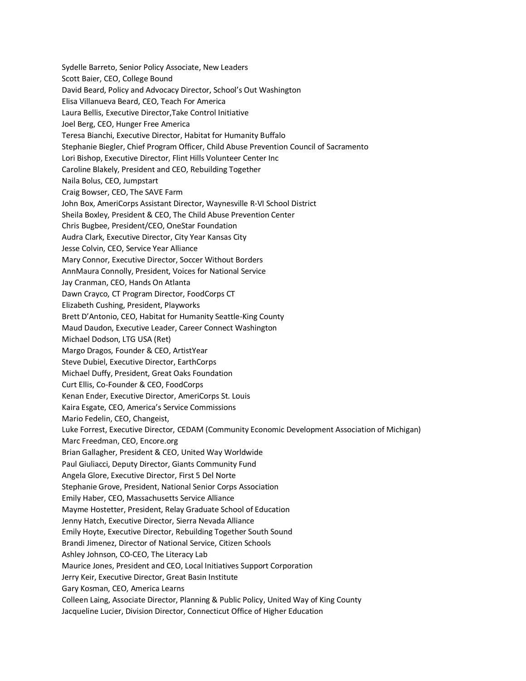Sydelle Barreto, Senior Policy Associate, New Leaders Scott Baier, CEO, College Bound David Beard, Policy and Advocacy Director, School's Out Washington Elisa Villanueva Beard, CEO, Teach For America Laura Bellis, Executive Director,Take Control Initiative Joel Berg, CEO, Hunger Free America Teresa Bianchi, Executive Director, Habitat for Humanity Buffalo Stephanie Biegler, Chief Program Officer, Child Abuse Prevention Council of Sacramento Lori Bishop, Executive Director, Flint Hills Volunteer Center Inc Caroline Blakely, President and CEO, Rebuilding Together Naila Bolus, CEO, Jumpstart Craig Bowser, CEO, The SAVE Farm John Box, AmeriCorps Assistant Director, Waynesville R-VI School District Sheila Boxley, President & CEO, The Child Abuse Prevention Center Chris Bugbee, President/CEO, OneStar Foundation Audra Clark, Executive Director, City Year Kansas City Jesse Colvin, CEO, Service Year Alliance Mary Connor, Executive Director, Soccer Without Borders AnnMaura Connolly, President, Voices for National Service Jay Cranman, CEO, Hands On Atlanta Dawn Crayco, CT Program Director, FoodCorps CT Elizabeth Cushing, President, Playworks Brett D'Antonio, CEO, Habitat for Humanity Seattle-King County Maud Daudon, Executive Leader, Career Connect Washington Michael Dodson, LTG USA (Ret) Margo Dragos, Founder & CEO, ArtistYear Steve Dubiel, Executive Director, EarthCorps Michael Duffy, President, Great Oaks Foundation Curt Ellis, Co-Founder & CEO, FoodCorps Kenan Ender, Executive Director, AmeriCorps St. Louis Kaira Esgate, CEO, America's Service Commissions Mario Fedelin, CEO, Changeist, Luke Forrest, Executive Director, CEDAM (Community Economic Development Association of Michigan) Marc Freedman, CEO, Encore.org Brian Gallagher, President & CEO, United Way Worldwide Paul Giuliacci, Deputy Director, Giants Community Fund Angela Glore, Executive Director, First 5 Del Norte Stephanie Grove, President, National Senior Corps Association Emily Haber, CEO, Massachusetts Service Alliance Mayme Hostetter, President, Relay Graduate School of Education Jenny Hatch, Executive Director, Sierra Nevada Alliance Emily Hoyte, Executive Director, Rebuilding Together South Sound Brandi Jimenez, Director of National Service, Citizen Schools Ashley Johnson, CO-CEO, The Literacy Lab Maurice Jones, President and CEO, Local Initiatives Support Corporation Jerry Keir, Executive Director, Great Basin Institute Gary Kosman, CEO, America Learns Colleen Laing, Associate Director, Planning & Public Policy, United Way of King County Jacqueline Lucier, Division Director, Connecticut Office of Higher Education